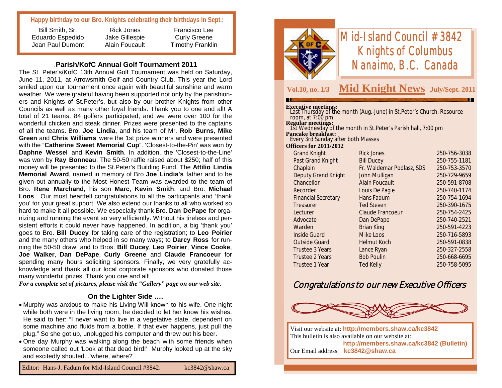### **Happy birthday to our Bro. Knights celebrating their birthdays in Sept.:**

Bill Smith, Sr. Eduardo Espedido Jean Paul Dumont

Rick Jones Jake Gillespie Alain Foucault

Francisco Lee Curly Greene Timothy Franklin

#### .**Parish/KofC Annual Golf Tournament 2011**

The St. Peter's/KofC 13th Annual Golf Tournament was held on Saturday, June 11, 2011, at Arrowsmith Golf and Country Club. This year the Lord smiled upon our tournament once again with beautiful sunshine and warm weather. We were grateful having been supported not only by the parishioners and Knights of St.Peter's, but also by our brother Knights from other Councils as well as many other loyal friends. Thank you to one and all! A total of 21 teams, 84 golfers participated, and we were over 100 for the wonderful chicken and steak dinner. Prizes were presented to the captains of all the teams**.** Bro. **Joe Lindia**, and his team of Mr. **Rob Burns**, **Mike Green** and **Chris Williams** were the 1st prize winners and were presented with the "**Catherine Sweet Memorial Cup**". 'Closest-to-the-Pin' was won by **Daphne Wessel** and **Kevin Smith**. In addition, the 'Closest-to-the-Line' was won by **Ray Bonneau**. The 50-50 raffle raised about \$250; half of this money will be presented to the St.Peter's Building Fund. The **Attilio Lindia Memorial Award**, named in memory of Bro **Joe Lindia's** father and to be given out annually to the Most Honest Team was awarded to the team of Bro. **Rene Marchand**, his son **Marc**, **Kevin Smith**, and Bro. **Michael Loos**. Our most heartfelt congratulations to all the participants and 'thank you' for your great support. We also extend our thanks to all who worked so hard to make it all possible. We especially thank Bro. **Dan DePape** for organizing and running the event so very efficiently. Without his tireless and persistent efforts it could never have happened. In addition, a big 'thank you' goes to Bro. **Bill Ducey** for taking care of the registration; to **Leo Poirier**  and the many others who helped in so many ways; to **Darcy Ross** for running the 50-50 draw; and to Bros. **Bill Ducey**, **Leo Poirier**, **Vince Cooke**, **Joe Walker**, **Dan DePape**, **Curly Greene** and **Claude Francoeur** for spending many hours soliciting sponsors. Finally, we very gratefully acknowledge and thank all our local corporate sponsors who donated those many wonderful prizes. Thank you one and all!

*For a complete set of pictures, please visit the "Gallery" page on our web site*.

#### **On the Lighter Side ….**

- Murphy was anxious to make his Living Will known to his wife. One night while both were in the living room, he decided to let her know his wishes. He said to her: "I never want to live in a vegetative state, dependent on some machine and fluids from a bottle. If that ever happens, just pull the plug." So she got up, unplugged his computer and threw out his beer.
- One day Murphy was walking along the beach with some friends when someone called out 'Look at that dead bird!' Murphy looked up at the sky and excitedly shouted...'where, where?'



# *Mid-Island Council #3842 Knights of Columbus Nanaimo, B.C. Canada*

### **Vol.10, no. 1/3 Mid Knight News July/Sept. 2011**

#### **Executive meetings:**

| Last Thursday of the month (Aug.-June) in St.Peter's Church, Resource              |                           |              |
|------------------------------------------------------------------------------------|---------------------------|--------------|
| room, at $7:00$ pm                                                                 |                           |              |
| Regular meetings:<br>1st Wednesday of the month in St.Peter's Parish hall, 7:00 pm |                           |              |
| Pancake breakfast:                                                                 |                           |              |
| Every 3rd Sunday after both Masses                                                 |                           |              |
| <b>Officers for 2011/2012</b>                                                      |                           |              |
| <b>Grand Knight</b>                                                                | <b>Rick Jones</b>         | 250-756-3038 |
| Past Grand Knight                                                                  | <b>Bill Ducey</b>         | 250-755-1181 |
| Chaplain                                                                           | Fr. Waldemar Podlasz, SDS | 250-753-3570 |
| <b>Deputy Grand Knight</b>                                                         | John Mulligan             | 250-729-9659 |
| Chancellor                                                                         | <b>Alain Foucault</b>     | 250-591-8708 |
| Recorder                                                                           | Louis De Pagie            | 250-740-1174 |
| <b>Financial Secretary</b>                                                         | Hans Fadum                | 250-754-1694 |
| Treasurer                                                                          | <b>Ted Steven</b>         | 250-390-1675 |
| Lecturer                                                                           | <b>Claude Francoeur</b>   | 250-754-2425 |
| Advocate                                                                           | Dan DePape                | 250-740-2521 |
| Warden                                                                             | Brian King                | 250-591-4223 |
| <b>Inside Guard</b>                                                                | Mike Loos                 | 250-716-5893 |
| <b>Outside Guard</b>                                                               | <b>Helmut Koch</b>        | 250-591-0838 |
| Trustee 3 Years                                                                    | Lance Ryan                | 250-327-2558 |
| <b>Trustee 2 Years</b>                                                             | <b>Bob Poulin</b>         | 250-668-6695 |
| Trustee 1 Year                                                                     | <b>Ted Kelly</b>          | 250-758-5095 |
|                                                                                    |                           |              |

## Congratulations to our new Executive Officers



Visit our website at: **http://members.shaw.ca/kc3842** This bulletin is also available on our website at: **http://members.shaw.ca/kc3842 (Bulletin)** Our Email address: **kc3842@shaw.ca**